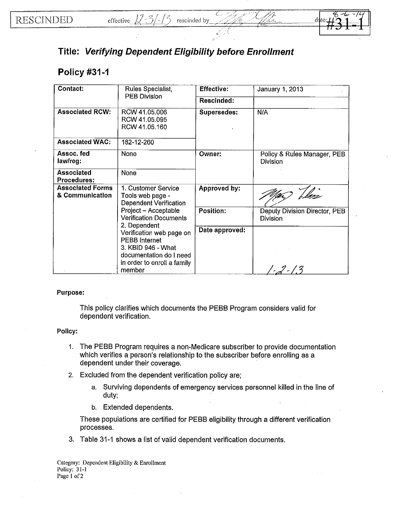

## **Title: Verifying Dependent Eligibility before Enrollment**

## **Policy #31-1**

| Contact:                                   | Rules Specialist,<br><b>PEB Division</b>                                                                                                                                                                                                                                                        | Effective:         | January 1, 2013                                  |
|--------------------------------------------|-------------------------------------------------------------------------------------------------------------------------------------------------------------------------------------------------------------------------------------------------------------------------------------------------|--------------------|--------------------------------------------------|
|                                            |                                                                                                                                                                                                                                                                                                 | Rescinded:         |                                                  |
| <b>Associated RCW:</b>                     | RCW 41.05.006<br>RCW 41.05.095<br>RCW 41.05.160                                                                                                                                                                                                                                                 | <b>Supersedes:</b> | N/A                                              |
| <b>Associated WAC:</b>                     | 182-12-260                                                                                                                                                                                                                                                                                      |                    |                                                  |
| Assoc. fed<br>law/reg:                     | <b>None</b>                                                                                                                                                                                                                                                                                     | Owner:             | Policy & Rules Manager, PEB<br>Division          |
| <b>Associated</b><br><b>Procedures:</b>    | None                                                                                                                                                                                                                                                                                            |                    |                                                  |
| <b>Associated Forms</b><br>& Communication | 1. Customer Service<br>Tools web page -<br><b>Dependent Verification</b><br>Project - Acceptable<br><b>Verification Documents</b><br>2. Dependent<br>Verification web page on<br><b>PEBB</b> Internet<br>3. KBID 946 - What<br>documentation do I need<br>in order to enroll a family<br>member | Approved by:       |                                                  |
|                                            |                                                                                                                                                                                                                                                                                                 | Position:          | Deputy Division Director, PEB<br><b>Division</b> |
|                                            |                                                                                                                                                                                                                                                                                                 | Date approved:     |                                                  |

## Purpose:

This policy clarifies which documents the PEBB Program considers valid for dependent verification.

## Policy:

- 1. The PEBB Program requires a non-Medicare subscriber to provide documentation which verifies a person's relationship to the subscriber before enrolling as a dependent under their coverage.
- 2. Excluded from the dependent verification policy are;
	- a. Surviving dependents of emergency services personnel killed in the line of duty;
	- b. Extended dependents.

These populations are certified for PEBB eligibility through a different verification processes.

3, Table 31-1 shows a list of valid dependent verification documents.